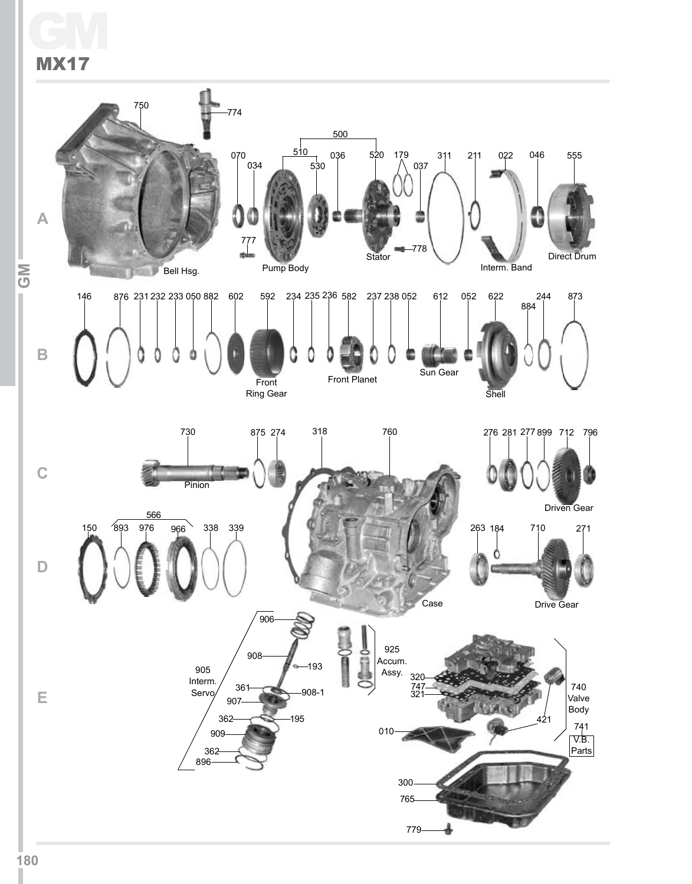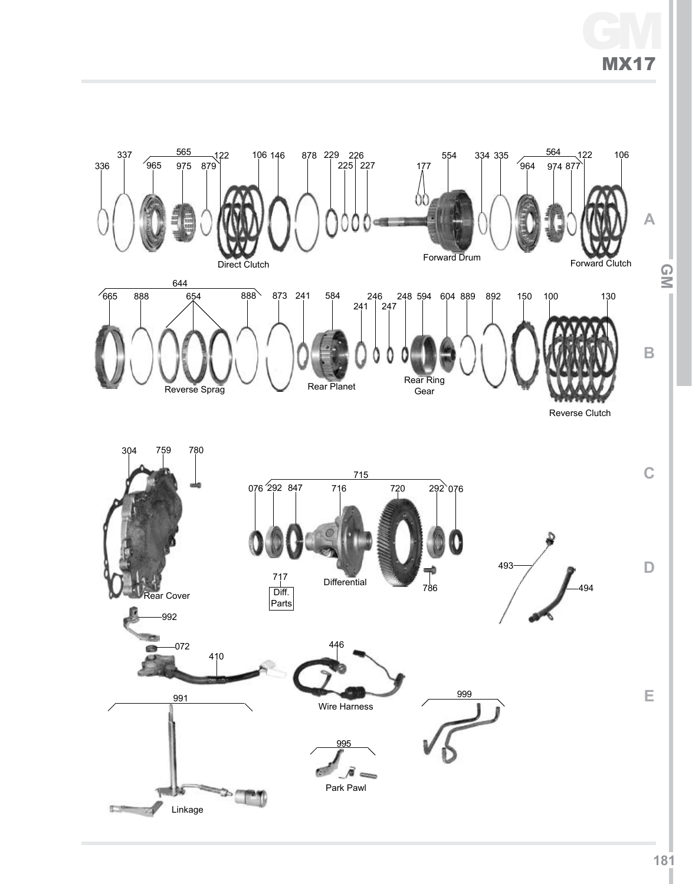# GM MX17

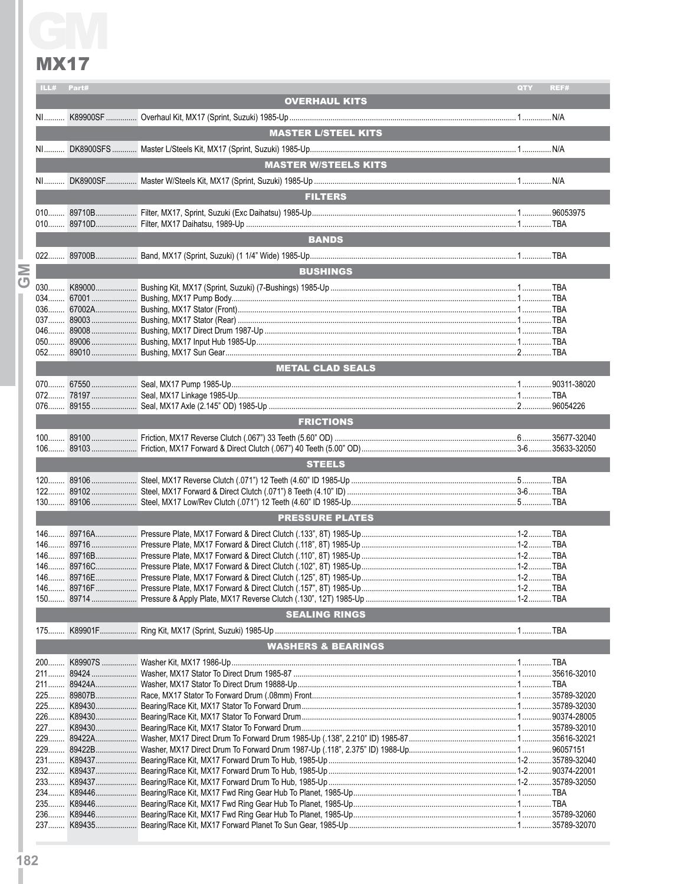|                | ILL#  | Part#      |                               | QTY | REF# |
|----------------|-------|------------|-------------------------------|-----|------|
|                |       |            | <b>OVERHAUL KITS</b>          |     |      |
|                |       |            |                               |     |      |
|                |       |            |                               |     |      |
|                |       |            | <b>MASTER L/STEEL KITS</b>    |     |      |
|                |       |            |                               |     |      |
|                |       |            | <b>MASTER W/STEELS KITS</b>   |     |      |
|                |       |            |                               |     |      |
|                |       |            |                               |     |      |
|                |       |            | <b>FILTERS</b>                |     |      |
|                |       |            |                               |     |      |
|                |       |            |                               |     |      |
|                |       |            | <b>BANDS</b>                  |     |      |
|                |       |            |                               |     |      |
|                |       |            |                               |     |      |
| Σ              |       |            | <b>BUSHINGS</b>               |     |      |
| $\overline{C}$ |       |            |                               |     |      |
|                |       |            |                               |     |      |
|                |       |            |                               |     |      |
|                |       |            |                               |     |      |
|                |       |            |                               |     |      |
|                |       |            |                               |     |      |
|                |       |            | <b>METAL CLAD SEALS</b>       |     |      |
|                |       |            |                               |     |      |
|                |       |            |                               |     |      |
|                |       |            |                               |     |      |
|                |       |            |                               |     |      |
|                |       |            | <b>FRICTIONS</b>              |     |      |
|                |       |            |                               |     |      |
|                |       |            |                               |     |      |
|                |       |            | <b>STEELS</b>                 |     |      |
|                |       |            |                               |     |      |
|                |       |            |                               |     |      |
|                |       |            |                               |     |      |
|                |       |            | <b>PRESSURE PLATES</b>        |     |      |
|                |       |            |                               |     |      |
|                |       |            |                               |     |      |
|                |       |            |                               |     |      |
|                |       |            |                               |     |      |
|                |       |            |                               |     |      |
|                | $146$ |            |                               |     |      |
|                |       |            |                               |     |      |
|                |       |            | <b>SEALING RINGS</b>          |     |      |
|                |       |            |                               |     |      |
|                |       |            | <b>WASHERS &amp; BEARINGS</b> |     |      |
|                |       |            |                               |     |      |
|                |       |            |                               |     |      |
|                |       |            |                               |     |      |
|                |       |            |                               |     |      |
|                |       |            |                               |     |      |
|                |       |            |                               |     |      |
|                |       |            |                               |     |      |
|                |       |            |                               |     |      |
|                |       |            |                               |     |      |
|                |       |            |                               |     |      |
|                |       |            |                               |     |      |
|                |       | 233 K89437 |                               |     |      |
|                |       |            |                               |     |      |
|                | $236$ |            |                               |     |      |
|                |       |            |                               |     |      |
|                |       |            |                               |     |      |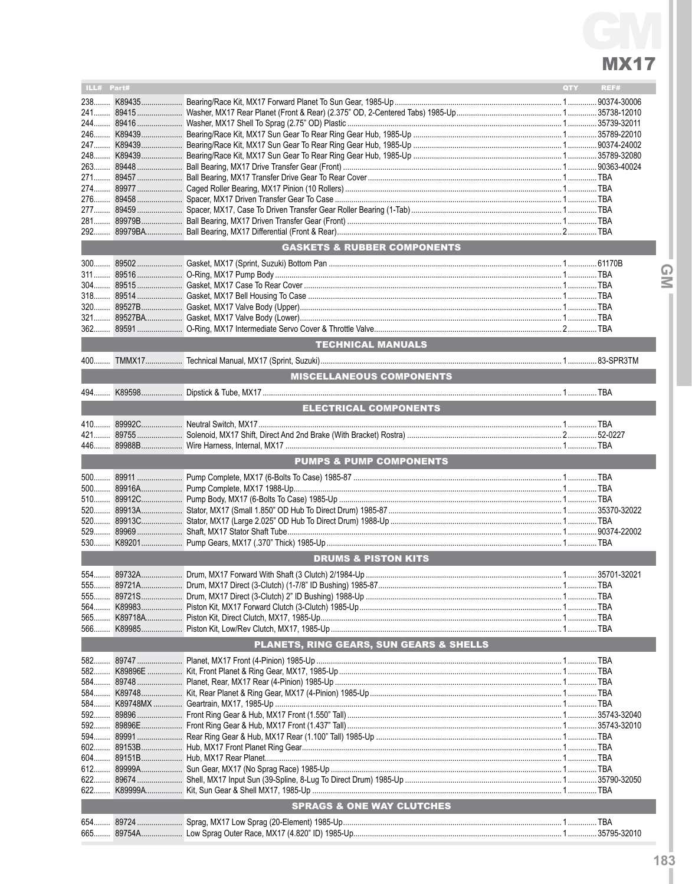| ILL# Part#                     |  |                                         | <b>QTY</b> | REF# |                  |  |  |  |
|--------------------------------|--|-----------------------------------------|------------|------|------------------|--|--|--|
|                                |  |                                         |            |      |                  |  |  |  |
|                                |  |                                         |            |      |                  |  |  |  |
|                                |  |                                         |            |      |                  |  |  |  |
| 246                            |  |                                         |            |      |                  |  |  |  |
|                                |  |                                         |            |      |                  |  |  |  |
|                                |  |                                         |            |      |                  |  |  |  |
|                                |  |                                         |            |      |                  |  |  |  |
|                                |  |                                         |            |      |                  |  |  |  |
|                                |  |                                         |            |      |                  |  |  |  |
|                                |  |                                         |            |      |                  |  |  |  |
|                                |  |                                         |            |      |                  |  |  |  |
|                                |  |                                         |            |      |                  |  |  |  |
|                                |  |                                         |            |      |                  |  |  |  |
|                                |  | <b>GASKETS &amp; RUBBER COMPONENTS</b>  |            |      |                  |  |  |  |
|                                |  |                                         |            |      | $\mathsf \Omega$ |  |  |  |
|                                |  |                                         |            |      | $\leq$           |  |  |  |
|                                |  |                                         |            |      |                  |  |  |  |
|                                |  |                                         |            |      |                  |  |  |  |
|                                |  |                                         |            |      |                  |  |  |  |
|                                |  |                                         |            |      |                  |  |  |  |
|                                |  |                                         |            |      |                  |  |  |  |
|                                |  | <b>TECHNICAL MANUALS</b>                |            |      |                  |  |  |  |
|                                |  |                                         |            |      |                  |  |  |  |
|                                |  | <b>MISCELLANEOUS COMPONENTS</b>         |            |      |                  |  |  |  |
|                                |  |                                         |            |      |                  |  |  |  |
|                                |  | <b>ELECTRICAL COMPONENTS</b>            |            |      |                  |  |  |  |
|                                |  |                                         |            |      |                  |  |  |  |
|                                |  |                                         |            |      |                  |  |  |  |
| 446                            |  |                                         |            |      |                  |  |  |  |
|                                |  | <b>PUMPS &amp; PUMP COMPONENTS</b>      |            |      |                  |  |  |  |
|                                |  |                                         |            |      |                  |  |  |  |
|                                |  |                                         |            |      |                  |  |  |  |
|                                |  |                                         |            |      |                  |  |  |  |
|                                |  |                                         |            |      |                  |  |  |  |
|                                |  |                                         |            |      |                  |  |  |  |
|                                |  |                                         |            |      |                  |  |  |  |
|                                |  |                                         |            |      |                  |  |  |  |
| <b>DRUMS &amp; PISTON KITS</b> |  |                                         |            |      |                  |  |  |  |
|                                |  |                                         |            |      |                  |  |  |  |
|                                |  |                                         |            |      |                  |  |  |  |
|                                |  |                                         |            |      |                  |  |  |  |
|                                |  |                                         |            |      |                  |  |  |  |
|                                |  |                                         |            |      |                  |  |  |  |
| 566                            |  |                                         |            |      |                  |  |  |  |
|                                |  | PLANETS, RING GEARS, SUN GEARS & SHELLS |            |      |                  |  |  |  |
|                                |  |                                         |            |      |                  |  |  |  |
|                                |  |                                         |            |      |                  |  |  |  |
|                                |  |                                         |            |      |                  |  |  |  |
|                                |  |                                         |            |      |                  |  |  |  |
|                                |  |                                         |            |      |                  |  |  |  |
|                                |  |                                         |            |      |                  |  |  |  |
|                                |  |                                         |            |      |                  |  |  |  |
| 594………                         |  |                                         |            |      |                  |  |  |  |
|                                |  |                                         |            |      |                  |  |  |  |
|                                |  |                                         |            |      |                  |  |  |  |
|                                |  |                                         |            |      |                  |  |  |  |
| 622                            |  |                                         |            |      |                  |  |  |  |
| 622                            |  |                                         |            |      |                  |  |  |  |
|                                |  | <b>SPRAGS &amp; ONE WAY CLUTCHES</b>    |            |      |                  |  |  |  |
|                                |  |                                         |            |      |                  |  |  |  |
|                                |  |                                         |            |      |                  |  |  |  |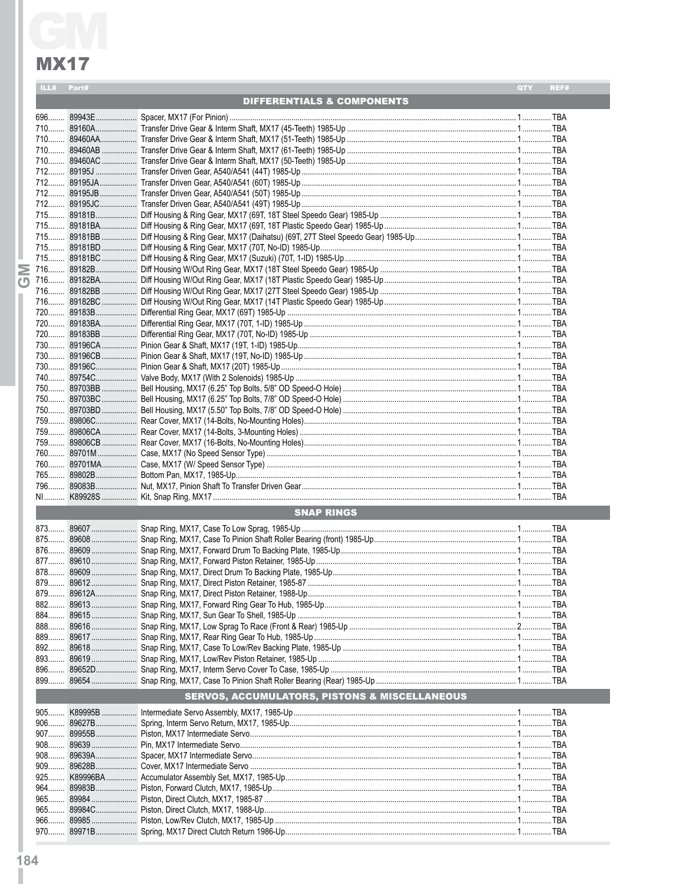**IND** 

| ILL# | Part#             |                                       | <b>OTY</b> | REF# |  |  |  |
|------|-------------------|---------------------------------------|------------|------|--|--|--|
|      |                   | <b>DIFFERENTIALS &amp; COMPONENTS</b> |            |      |  |  |  |
| 696  |                   |                                       |            |      |  |  |  |
|      |                   |                                       |            |      |  |  |  |
|      |                   |                                       |            |      |  |  |  |
|      |                   |                                       |            |      |  |  |  |
|      |                   |                                       |            |      |  |  |  |
|      |                   |                                       |            |      |  |  |  |
|      |                   |                                       |            |      |  |  |  |
|      |                   |                                       |            |      |  |  |  |
|      |                   |                                       |            |      |  |  |  |
|      |                   |                                       |            |      |  |  |  |
|      |                   |                                       |            |      |  |  |  |
|      |                   |                                       |            |      |  |  |  |
|      |                   |                                       |            |      |  |  |  |
|      |                   |                                       |            |      |  |  |  |
|      |                   |                                       |            |      |  |  |  |
|      |                   |                                       |            |      |  |  |  |
|      |                   |                                       |            |      |  |  |  |
|      |                   |                                       |            |      |  |  |  |
|      |                   |                                       |            |      |  |  |  |
|      |                   |                                       |            |      |  |  |  |
|      |                   |                                       |            |      |  |  |  |
|      |                   |                                       |            |      |  |  |  |
|      |                   |                                       |            |      |  |  |  |
|      |                   |                                       |            |      |  |  |  |
|      |                   |                                       |            |      |  |  |  |
|      |                   |                                       |            |      |  |  |  |
|      |                   |                                       |            |      |  |  |  |
|      |                   |                                       |            |      |  |  |  |
|      |                   |                                       |            |      |  |  |  |
|      |                   |                                       |            |      |  |  |  |
| 759  |                   |                                       |            |      |  |  |  |
|      |                   |                                       |            |      |  |  |  |
|      |                   |                                       |            |      |  |  |  |
|      |                   |                                       |            |      |  |  |  |
|      |                   |                                       |            |      |  |  |  |
|      |                   |                                       |            |      |  |  |  |
|      | <b>SNAP RINGS</b> |                                       |            |      |  |  |  |

#### **SERVOS, ACCUMULATORS, PISTONS & MISCELLANEOUS**